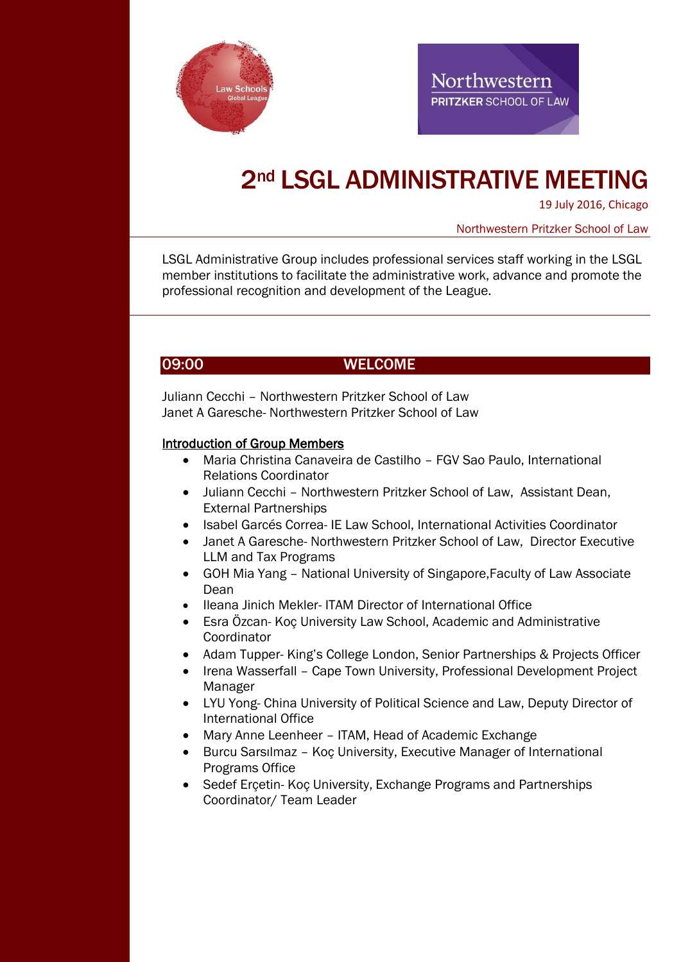



# 2nd LSGL ADMINISTRATIVE MEETING

19 July 2016, Chicago

Northwestern Pritzker School of Law

LSGL Administrative Group includes professional services staff working in the LSGL member institutions to facilitate the administrative work, advance and promote the professional recognition and development of the League.

### 09:00 WELCOME

Juliann Cecchi – Northwestern Pritzker School of Law Janet A Garesche- Northwestern Pritzker School of Law

#### Introduction of Group Members

- Maria Christina Canaveira de Castilho FGV Sao Paulo, International Relations Coordinator
- Juliann Cecchi Northwestern Pritzker School of Law, Assistant Dean, External Partnerships
- Isabel Garcés Correa- IE Law School, International Activities Coordinator
- Janet A Garesche- Northwestern Pritzker School of Law, Director Executive LLM and Tax Programs
- GOH Mia Yang National University of Singapore,Faculty of Law Associate Dean
- Ileana Jinich Mekler- ITAM Director of International Office
- Esra Özcan- Koç University Law School, Academic and Administrative Coordinator
- Adam Tupper- King's College London, Senior Partnerships & Projects Officer
- Irena Wasserfall Cape Town University, Professional Development Project Manager
- LYU Yong- China University of Political Science and Law, Deputy Director of International Office
- Mary Anne Leenheer ITAM, Head of Academic Exchange
- Burcu Sarsılmaz Koç University, Executive Manager of International Programs Office
- Sedef Erçetin- Koç University, Exchange Programs and Partnerships Coordinator/ Team Leader